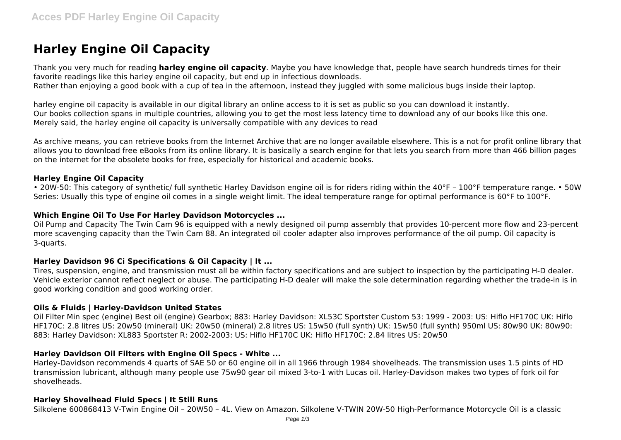# **Harley Engine Oil Capacity**

Thank you very much for reading **harley engine oil capacity**. Maybe you have knowledge that, people have search hundreds times for their favorite readings like this harley engine oil capacity, but end up in infectious downloads. Rather than enjoying a good book with a cup of tea in the afternoon, instead they juggled with some malicious bugs inside their laptop.

harley engine oil capacity is available in our digital library an online access to it is set as public so you can download it instantly. Our books collection spans in multiple countries, allowing you to get the most less latency time to download any of our books like this one. Merely said, the harley engine oil capacity is universally compatible with any devices to read

As archive means, you can retrieve books from the Internet Archive that are no longer available elsewhere. This is a not for profit online library that allows you to download free eBooks from its online library. It is basically a search engine for that lets you search from more than 466 billion pages on the internet for the obsolete books for free, especially for historical and academic books.

## **Harley Engine Oil Capacity**

• 20W-50: This category of synthetic/ full synthetic Harley Davidson engine oil is for riders riding within the 40°F – 100°F temperature range. • 50W Series: Usually this type of engine oil comes in a single weight limit. The ideal temperature range for optimal performance is 60°F to 100°F.

#### **Which Engine Oil To Use For Harley Davidson Motorcycles ...**

Oil Pump and Capacity The Twin Cam 96 is equipped with a newly designed oil pump assembly that provides 10-percent more flow and 23-percent more scavenging capacity than the Twin Cam 88. An integrated oil cooler adapter also improves performance of the oil pump. Oil capacity is 3-quarts.

#### **Harley Davidson 96 Ci Specifications & Oil Capacity | It ...**

Tires, suspension, engine, and transmission must all be within factory specifications and are subject to inspection by the participating H-D dealer. Vehicle exterior cannot reflect neglect or abuse. The participating H-D dealer will make the sole determination regarding whether the trade-in is in good working condition and good working order.

#### **Oils & Fluids | Harley-Davidson United States**

Oil Filter Min spec (engine) Best oil (engine) Gearbox; 883: Harley Davidson: XL53C Sportster Custom 53: 1999 - 2003: US: Hiflo HF170C UK: Hiflo HF170C: 2.8 litres US: 20w50 (mineral) UK: 20w50 (mineral) 2.8 litres US: 15w50 (full synth) UK: 15w50 (full synth) 950ml US: 80w90 UK: 80w90: 883: Harley Davidson: XL883 Sportster R: 2002-2003: US: Hiflo HF170C UK: Hiflo HF170C: 2.84 litres US: 20w50

# **Harley Davidson Oil Filters with Engine Oil Specs - White ...**

Harley-Davidson recommends 4 quarts of SAE 50 or 60 engine oil in all 1966 through 1984 shovelheads. The transmission uses 1.5 pints of HD transmission lubricant, although many people use 75w90 gear oil mixed 3-to-1 with Lucas oil. Harley-Davidson makes two types of fork oil for shovelheads.

# **Harley Shovelhead Fluid Specs | It Still Runs**

Silkolene 600868413 V-Twin Engine Oil – 20W50 – 4L. View on Amazon. Silkolene V-TWIN 20W-50 High-Performance Motorcycle Oil is a classic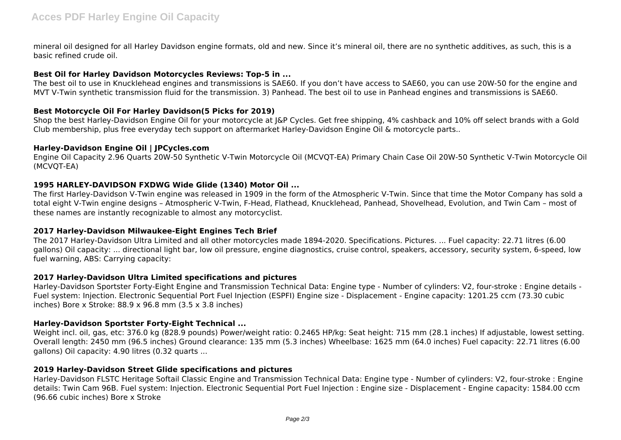mineral oil designed for all Harley Davidson engine formats, old and new. Since it's mineral oil, there are no synthetic additives, as such, this is a basic refined crude oil.

### **Best Oil for Harley Davidson Motorcycles Reviews: Top-5 in ...**

The best oil to use in Knucklehead engines and transmissions is SAE60. If you don't have access to SAE60, you can use 20W-50 for the engine and MVT V-Twin synthetic transmission fluid for the transmission. 3) Panhead. The best oil to use in Panhead engines and transmissions is SAE60.

# **Best Motorcycle Oil For Harley Davidson(5 Picks for 2019)**

Shop the best Harley-Davidson Engine Oil for your motorcycle at J&P Cycles. Get free shipping, 4% cashback and 10% off select brands with a Gold Club membership, plus free everyday tech support on aftermarket Harley-Davidson Engine Oil & motorcycle parts..

## **Harley-Davidson Engine Oil | JPCycles.com**

Engine Oil Capacity 2.96 Quarts 20W-50 Synthetic V-Twin Motorcycle Oil (MCVQT-EA) Primary Chain Case Oil 20W-50 Synthetic V-Twin Motorcycle Oil (MCVQT-EA)

## **1995 HARLEY-DAVIDSON FXDWG Wide Glide (1340) Motor Oil ...**

The first Harley-Davidson V-Twin engine was released in 1909 in the form of the Atmospheric V-Twin. Since that time the Motor Company has sold a total eight V-Twin engine designs – Atmospheric V-Twin, F-Head, Flathead, Knucklehead, Panhead, Shovelhead, Evolution, and Twin Cam – most of these names are instantly recognizable to almost any motorcyclist.

# **2017 Harley-Davidson Milwaukee-Eight Engines Tech Brief**

The 2017 Harley-Davidson Ultra Limited and all other motorcycles made 1894-2020. Specifications. Pictures. ... Fuel capacity: 22.71 litres (6.00 gallons) Oil capacity: ... directional light bar, low oil pressure, engine diagnostics, cruise control, speakers, accessory, security system, 6-speed, low fuel warning, ABS: Carrying capacity:

# **2017 Harley-Davidson Ultra Limited specifications and pictures**

Harley-Davidson Sportster Forty-Eight Engine and Transmission Technical Data: Engine type - Number of cylinders: V2, four-stroke : Engine details - Fuel system: Injection. Electronic Sequential Port Fuel Injection (ESPFI) Engine size - Displacement - Engine capacity: 1201.25 ccm (73.30 cubic inches) Bore x Stroke: 88.9 x 96.8 mm (3.5 x 3.8 inches)

# **Harley-Davidson Sportster Forty-Eight Technical ...**

Weight incl. oil, gas, etc: 376.0 kg (828.9 pounds) Power/weight ratio: 0.2465 HP/kg: Seat height: 715 mm (28.1 inches) If adjustable, lowest setting. Overall length: 2450 mm (96.5 inches) Ground clearance: 135 mm (5.3 inches) Wheelbase: 1625 mm (64.0 inches) Fuel capacity: 22.71 litres (6.00 gallons) Oil capacity: 4.90 litres (0.32 quarts ...

#### **2019 Harley-Davidson Street Glide specifications and pictures**

Harley-Davidson FLSTC Heritage Softail Classic Engine and Transmission Technical Data: Engine type - Number of cylinders: V2, four-stroke : Engine details: Twin Cam 96B. Fuel system: Injection. Electronic Sequential Port Fuel Injection : Engine size - Displacement - Engine capacity: 1584.00 ccm (96.66 cubic inches) Bore x Stroke